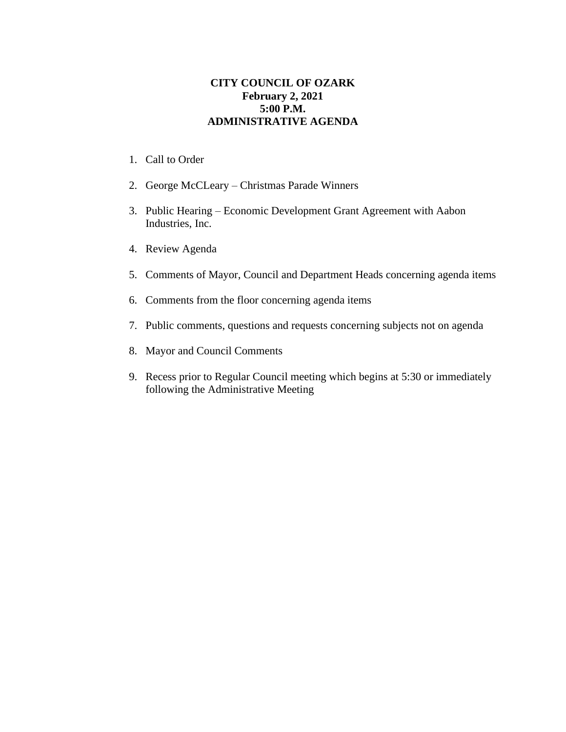## **CITY COUNCIL OF OZARK February 2, 2021 5:00 P.M. ADMINISTRATIVE AGENDA**

- 1. Call to Order
- 2. George McCLeary Christmas Parade Winners
- 3. Public Hearing Economic Development Grant Agreement with Aabon Industries, Inc.
- 4. Review Agenda
- 5. Comments of Mayor, Council and Department Heads concerning agenda items
- 6. Comments from the floor concerning agenda items
- 7. Public comments, questions and requests concerning subjects not on agenda
- 8. Mayor and Council Comments
- 9. Recess prior to Regular Council meeting which begins at 5:30 or immediately following the Administrative Meeting